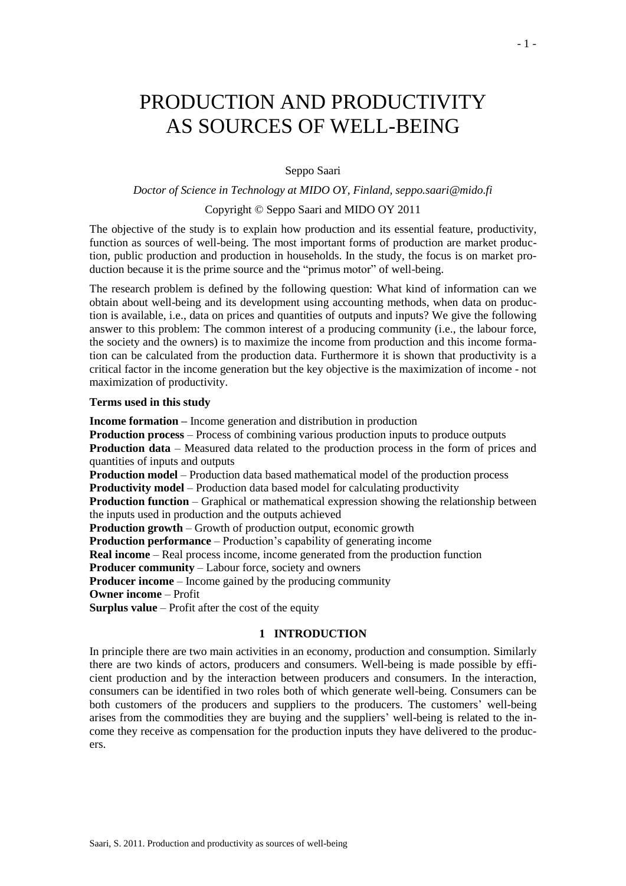# PRODUCTION AND PRODUCTIVITY AS SOURCES OF WELL-BEING

## Seppo Saari

## *Doctor of Science in Technology at MIDO OY, Finland, seppo.saari@mido.fi*

#### Copyright © Seppo Saari and MIDO OY 2011

The objective of the study is to explain how production and its essential feature, productivity, function as sources of well-being. The most important forms of production are market production, public production and production in households. In the study, the focus is on market production because it is the prime source and the "primus motor" of well-being.

The research problem is defined by the following question: What kind of information can we obtain about well-being and its development using accounting methods, when data on production is available, i.e., data on prices and quantities of outputs and inputs? We give the following answer to this problem: The common interest of a producing community (i.e., the labour force, the society and the owners) is to maximize the income from production and this income formation can be calculated from the production data. Furthermore it is shown that productivity is a critical factor in the income generation but the key objective is the maximization of income - not maximization of productivity.

#### **Terms used in this study**

**Income formation –** Income generation and distribution in production

**Production process** – Process of combining various production inputs to produce outputs

**Production data** – Measured data related to the production process in the form of prices and quantities of inputs and outputs

**Production model** – Production data based mathematical model of the production process **Productivity model** – Production data based model for calculating productivity

**Production function** – Graphical or mathematical expression showing the relationship between the inputs used in production and the outputs achieved

**Production growth** – Growth of production output, economic growth

**Production performance** – Production's capability of generating income

**Real income** – Real process income, income generated from the production function

**Producer community** – Labour force, society and owners

**Producer income** – Income gained by the producing community

**Owner income** – Profit

**Surplus value** – Profit after the cost of the equity

## **1 INTRODUCTION**

In principle there are two main activities in an economy, production and consumption. Similarly there are two kinds of actors, producers and consumers. Well-being is made possible by efficient production and by the interaction between producers and consumers. In the interaction, consumers can be identified in two roles both of which generate well-being. Consumers can be both customers of the producers and suppliers to the producers. The customers' well-being arises from the commodities they are buying and the suppliers' well-being is related to the income they receive as compensation for the production inputs they have delivered to the producers.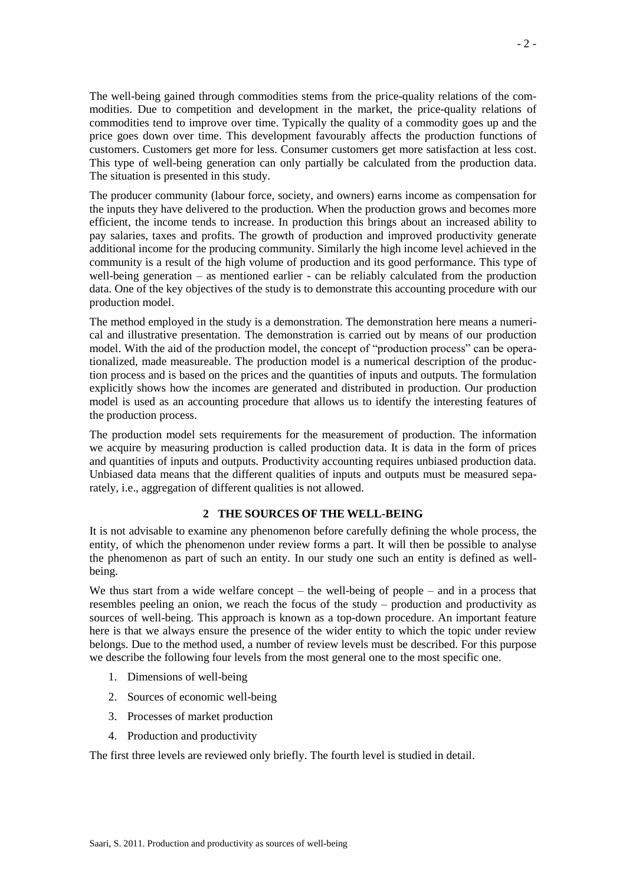The well-being gained through commodities stems from the price-quality relations of the commodities. Due to competition and development in the market, the price-quality relations of commodities tend to improve over time. Typically the quality of a commodity goes up and the price goes down over time. This development favourably affects the production functions of customers. Customers get more for less. Consumer customers get more satisfaction at less cost. This type of well-being generation can only partially be calculated from the production data. The situation is presented in this study.

The producer community (labour force, society, and owners) earns income as compensation for the inputs they have delivered to the production. When the production grows and becomes more efficient, the income tends to increase. In production this brings about an increased ability to pay salaries, taxes and profits. The growth of production and improved productivity generate additional income for the producing community. Similarly the high income level achieved in the community is a result of the high volume of production and its good performance. This type of well-being generation – as mentioned earlier - can be reliably calculated from the production data. One of the key objectives of the study is to demonstrate this accounting procedure with our production model.

The method employed in the study is a demonstration. The demonstration here means a numerical and illustrative presentation. The demonstration is carried out by means of our production model. With the aid of the production model, the concept of "production process" can be operationalized, made measureable. The production model is a numerical description of the production process and is based on the prices and the quantities of inputs and outputs. The formulation explicitly shows how the incomes are generated and distributed in production. Our production model is used as an accounting procedure that allows us to identify the interesting features of the production process.

The production model sets requirements for the measurement of production. The information we acquire by measuring production is called production data. It is data in the form of prices and quantities of inputs and outputs. Productivity accounting requires unbiased production data. Unbiased data means that the different qualities of inputs and outputs must be measured separately, i.e., aggregation of different qualities is not allowed.

## **2 THE SOURCES OF THE WELL-BEING**

It is not advisable to examine any phenomenon before carefully defining the whole process, the entity, of which the phenomenon under review forms a part. It will then be possible to analyse the phenomenon as part of such an entity. In our study one such an entity is defined as wellbeing.

We thus start from a wide welfare concept – the well-being of people – and in a process that resembles peeling an onion, we reach the focus of the study – production and productivity as sources of well-being. This approach is known as a top-down procedure. An important feature here is that we always ensure the presence of the wider entity to which the topic under review belongs. Due to the method used, a number of review levels must be described. For this purpose we describe the following four levels from the most general one to the most specific one.

- 1. Dimensions of well-being
- 2. Sources of economic well-being
- 3. Processes of market production
- 4. Production and productivity

The first three levels are reviewed only briefly. The fourth level is studied in detail.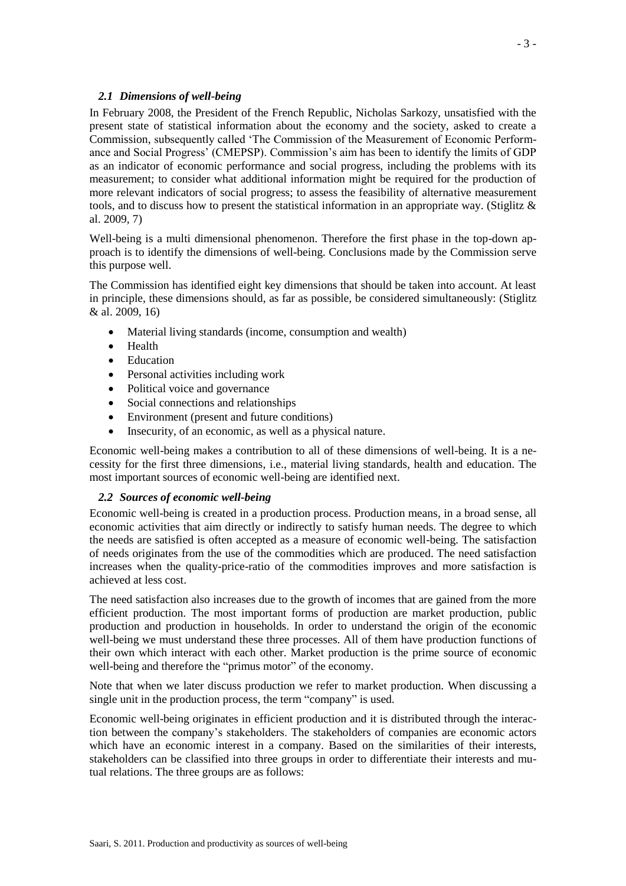## *2.1 Dimensions of well-being*

In February 2008, the President of the French Republic, Nicholas Sarkozy, unsatisfied with the present state of statistical information about the economy and the society, asked to create a Commission, subsequently called 'The Commission of the Measurement of Economic Performance and Social Progress' (CMEPSP). Commission's aim has been to identify the limits of GDP as an indicator of economic performance and social progress, including the problems with its measurement; to consider what additional information might be required for the production of more relevant indicators of social progress; to assess the feasibility of alternative measurement tools, and to discuss how to present the statistical information in an appropriate way. (Stiglitz & al. 2009, 7)

Well-being is a multi dimensional phenomenon. Therefore the first phase in the top-down approach is to identify the dimensions of well-being. Conclusions made by the Commission serve this purpose well.

The Commission has identified eight key dimensions that should be taken into account. At least in principle, these dimensions should, as far as possible, be considered simultaneously: (Stiglitz & al. 2009, 16)

- Material living standards (income, consumption and wealth)
- Health
- Education
- Personal activities including work
- Political voice and governance
- Social connections and relationships
- Environment (present and future conditions)
- Insecurity, of an economic, as well as a physical nature.

Economic well-being makes a contribution to all of these dimensions of well-being. It is a necessity for the first three dimensions, i.e., material living standards, health and education. The most important sources of economic well-being are identified next.

## *2.2 Sources of economic well-being*

Economic well-being is created in a production process. Production means, in a broad sense, all economic activities that aim directly or indirectly to satisfy human needs. The degree to which the needs are satisfied is often accepted as a measure of economic well-being. The satisfaction of needs originates from the use of the commodities which are produced. The need satisfaction increases when the quality-price-ratio of the commodities improves and more satisfaction is achieved at less cost.

The need satisfaction also increases due to the growth of incomes that are gained from the more efficient production. The most important forms of production are market production, public production and production in households. In order to understand the origin of the economic well-being we must understand these three processes. All of them have production functions of their own which interact with each other. Market production is the prime source of economic well-being and therefore the "primus motor" of the economy.

Note that when we later discuss production we refer to market production. When discussing a single unit in the production process, the term "company" is used.

Economic well-being originates in efficient production and it is distributed through the interaction between the company's stakeholders. The stakeholders of companies are economic actors which have an economic interest in a company. Based on the similarities of their interests, stakeholders can be classified into three groups in order to differentiate their interests and mutual relations. The three groups are as follows: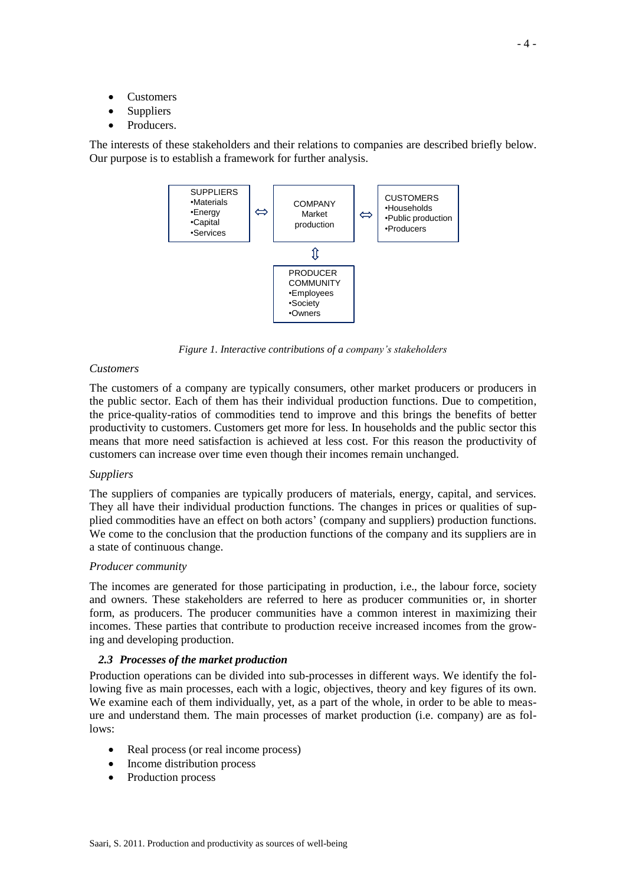- **Customers**
- Suppliers
- Producers.

The interests of these stakeholders and their relations to companies are described briefly below. Our purpose is to establish a framework for further analysis.



*Figure 1. Interactive contributions of a company's stakeholders*

#### *Customers*

The customers of a company are typically consumers, other market producers or producers in the public sector. Each of them has their individual production functions. Due to competition, the price-quality-ratios of commodities tend to improve and this brings the benefits of better productivity to customers. Customers get more for less. In households and the public sector this means that more need satisfaction is achieved at less cost. For this reason the productivity of customers can increase over time even though their incomes remain unchanged.

## *Suppliers*

The suppliers of companies are typically producers of materials, energy, capital, and services. They all have their individual production functions. The changes in prices or qualities of supplied commodities have an effect on both actors' (company and suppliers) production functions. We come to the conclusion that the production functions of the company and its suppliers are in a state of continuous change.

#### *Producer community*

The incomes are generated for those participating in production, i.e., the labour force, society and owners. These stakeholders are referred to here as producer communities or, in shorter form, as producers. The producer communities have a common interest in maximizing their incomes. These parties that contribute to production receive increased incomes from the growing and developing production.

## *2.3 Processes of the market production*

Production operations can be divided into sub-processes in different ways. We identify the following five as main processes, each with a logic, objectives, theory and key figures of its own. We examine each of them individually, yet, as a part of the whole, in order to be able to measure and understand them. The main processes of market production (i.e. company) are as follows:

- Real process (or real income process)
- Income distribution process
- Production process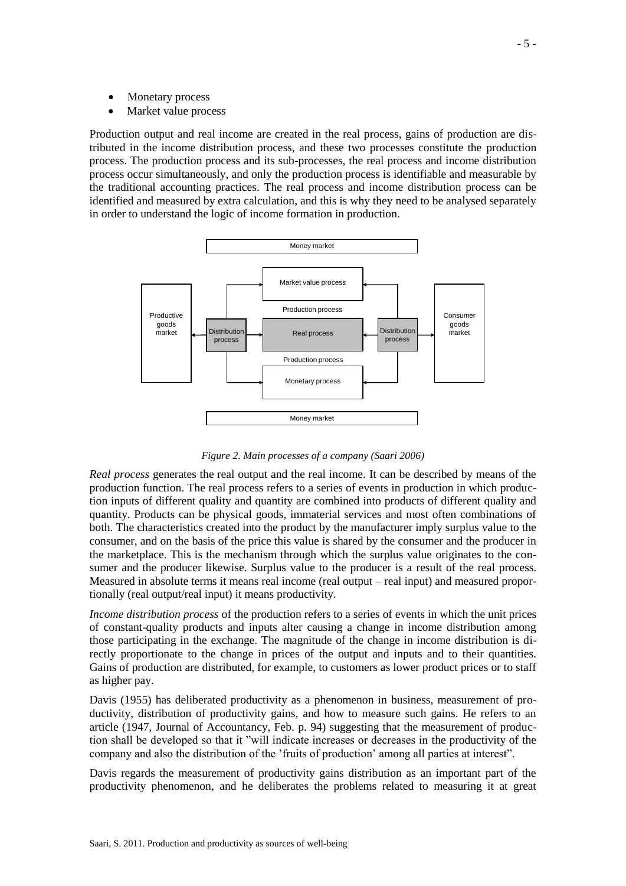- Monetary process
- Market value process

Production output and real income are created in the real process, gains of production are distributed in the income distribution process, and these two processes constitute the production process. The production process and its sub-processes, the real process and income distribution process occur simultaneously, and only the production process is identifiable and measurable by the traditional accounting practices. The real process and income distribution process can be identified and measured by extra calculation, and this is why they need to be analysed separately in order to understand the logic of income formation in production.



*Figure 2. Main processes of a company (Saari 2006)*

*Real process* generates the real output and the real income. It can be described by means of the production function. The real process refers to a series of events in production in which production inputs of different quality and quantity are combined into products of different quality and quantity. Products can be physical goods, immaterial services and most often combinations of both. The characteristics created into the product by the manufacturer imply surplus value to the consumer, and on the basis of the price this value is shared by the consumer and the producer in the marketplace. This is the mechanism through which the surplus value originates to the consumer and the producer likewise. Surplus value to the producer is a result of the real process. Measured in absolute terms it means real income (real output – real input) and measured proportionally (real output/real input) it means productivity.

*Income distribution process* of the production refers to a series of events in which the unit prices of constant-quality products and inputs alter causing a change in income distribution among those participating in the exchange. The magnitude of the change in income distribution is directly proportionate to the change in prices of the output and inputs and to their quantities. Gains of production are distributed, for example, to customers as lower product prices or to staff as higher pay.

Davis (1955) has deliberated productivity as a phenomenon in business, measurement of productivity, distribution of productivity gains, and how to measure such gains. He refers to an article (1947, Journal of Accountancy, Feb. p. 94) suggesting that the measurement of production shall be developed so that it "will indicate increases or decreases in the productivity of the company and also the distribution of the 'fruits of production' among all parties at interest".

Davis regards the measurement of productivity gains distribution as an important part of the productivity phenomenon, and he deliberates the problems related to measuring it at great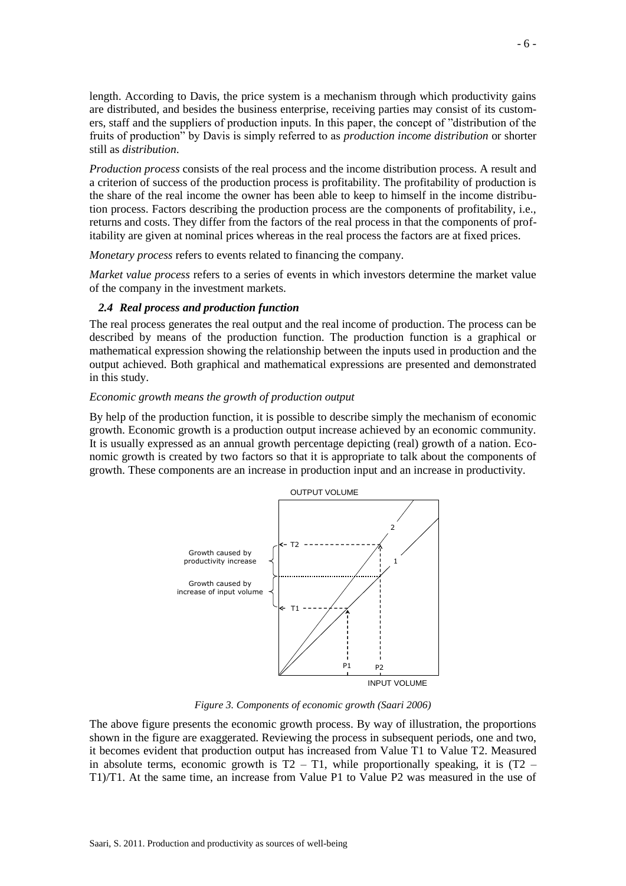length. According to Davis, the price system is a mechanism through which productivity gains are distributed, and besides the business enterprise, receiving parties may consist of its customers, staff and the suppliers of production inputs. In this paper, the concept of "distribution of the fruits of production" by Davis is simply referred to as *production income distribution* or shorter still as *distribution*.

*Production process* consists of the real process and the income distribution process. A result and a criterion of success of the production process is profitability. The profitability of production is the share of the real income the owner has been able to keep to himself in the income distribution process. Factors describing the production process are the components of profitability, i.e., returns and costs. They differ from the factors of the real process in that the components of profitability are given at nominal prices whereas in the real process the factors are at fixed prices.

*Monetary process* refers to events related to financing the company.

*Market value process* refers to a series of events in which investors determine the market value of the company in the investment markets.

#### *2.4 Real process and production function*

The real process generates the real output and the real income of production. The process can be described by means of the production function. The production function is a graphical or mathematical expression showing the relationship between the inputs used in production and the output achieved. Both graphical and mathematical expressions are presented and demonstrated in this study.

## *Economic growth means the growth of production output*

By help of the production function, it is possible to describe simply the mechanism of economic growth. Economic growth is a production output increase achieved by an economic community. It is usually expressed as an annual growth percentage depicting (real) growth of a nation. Economic growth is created by two factors so that it is appropriate to talk about the components of growth. These components are an increase in production input and an increase in productivity.



*Figure 3. Components of economic growth (Saari 2006)*

The above figure presents the economic growth process. By way of illustration, the proportions shown in the figure are exaggerated. Reviewing the process in subsequent periods, one and two, it becomes evident that production output has increased from Value T1 to Value T2. Measured in absolute terms, economic growth is  $T2 - T1$ , while proportionally speaking, it is  $(T2 - T1)$ T1)/T1. At the same time, an increase from Value P1 to Value P2 was measured in the use of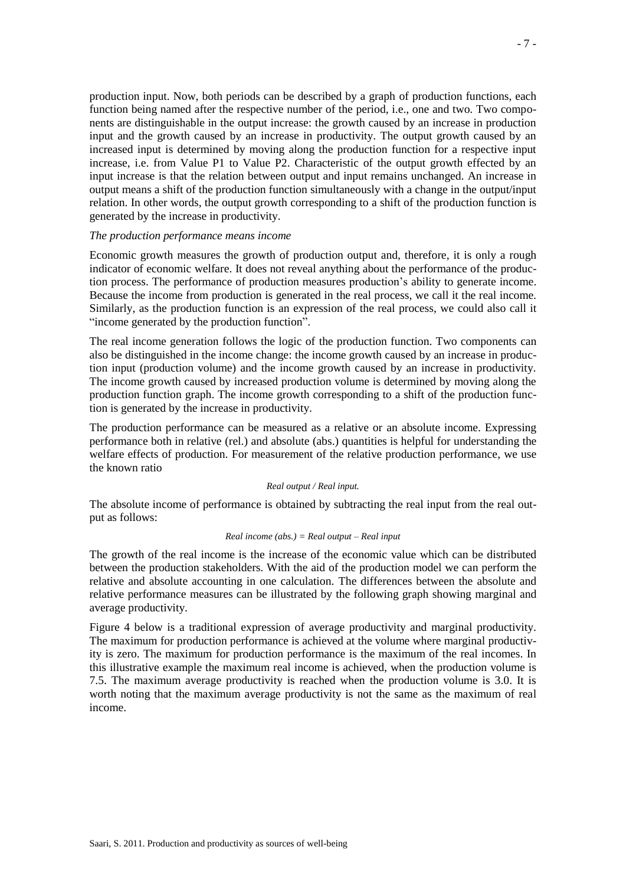production input. Now, both periods can be described by a graph of production functions, each function being named after the respective number of the period, i.e., one and two. Two components are distinguishable in the output increase: the growth caused by an increase in production input and the growth caused by an increase in productivity. The output growth caused by an increased input is determined by moving along the production function for a respective input increase, i.e. from Value P1 to Value P2. Characteristic of the output growth effected by an input increase is that the relation between output and input remains unchanged. An increase in output means a shift of the production function simultaneously with a change in the output/input relation. In other words, the output growth corresponding to a shift of the production function is generated by the increase in productivity.

#### *The production performance means income*

Economic growth measures the growth of production output and, therefore, it is only a rough indicator of economic welfare. It does not reveal anything about the performance of the production process. The performance of production measures production's ability to generate income. Because the income from production is generated in the real process, we call it the real income. Similarly, as the production function is an expression of the real process, we could also call it "income generated by the production function".

The real income generation follows the logic of the production function. Two components can also be distinguished in the income change: the income growth caused by an increase in production input (production volume) and the income growth caused by an increase in productivity. The income growth caused by increased production volume is determined by moving along the production function graph. The income growth corresponding to a shift of the production function is generated by the increase in productivity.

The production performance can be measured as a relative or an absolute income. Expressing performance both in relative (rel.) and absolute (abs.) quantities is helpful for understanding the welfare effects of production. For measurement of the relative production performance, we use the known ratio

#### *Real output / Real input.*

The absolute income of performance is obtained by subtracting the real input from the real output as follows:

#### *Real income (abs.) = Real output – Real input*

The growth of the real income is the increase of the economic value which can be distributed between the production stakeholders. With the aid of the production model we can perform the relative and absolute accounting in one calculation. The differences between the absolute and relative performance measures can be illustrated by the following graph showing marginal and average productivity.

Figure 4 below is a traditional expression of average productivity and marginal productivity. The maximum for production performance is achieved at the volume where marginal productivity is zero. The maximum for production performance is the maximum of the real incomes. In this illustrative example the maximum real income is achieved, when the production volume is 7.5. The maximum average productivity is reached when the production volume is 3.0. It is worth noting that the maximum average productivity is not the same as the maximum of real income.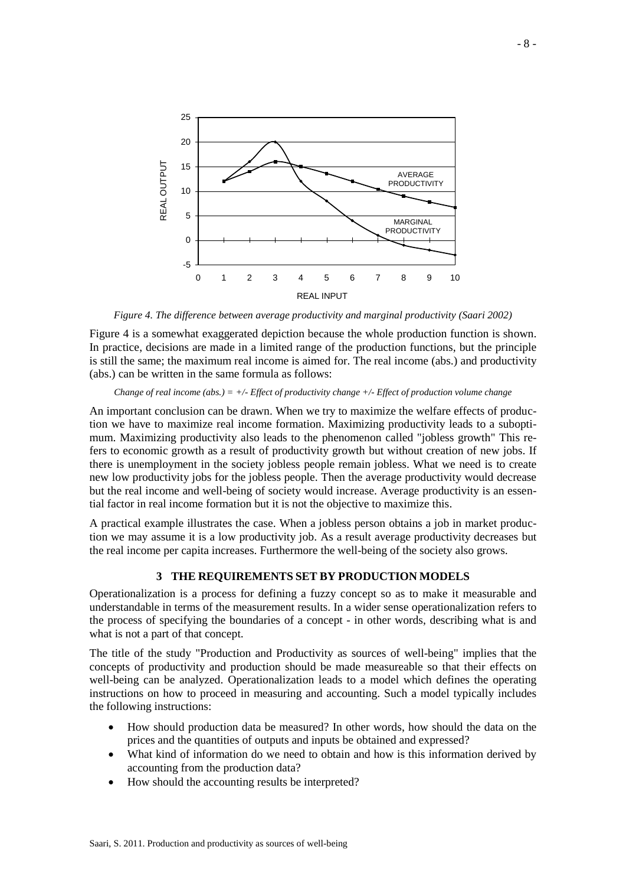

*Figure 4. The difference between average productivity and marginal productivity (Saari 2002)*

Figure 4 is a somewhat exaggerated depiction because the whole production function is shown. In practice, decisions are made in a limited range of the production functions, but the principle is still the same; the maximum real income is aimed for. The real income (abs.) and productivity (abs.) can be written in the same formula as follows:

#### *Change of real income (abs.) = +/- Effect of productivity change +/- Effect of production volume change*

An important conclusion can be drawn. When we try to maximize the welfare effects of production we have to maximize real income formation. Maximizing productivity leads to a suboptimum. Maximizing productivity also leads to the phenomenon called "jobless growth" This refers to economic growth as a result of productivity growth but without creation of new jobs. If there is unemployment in the society jobless people remain jobless. What we need is to create new low productivity jobs for the jobless people. Then the average productivity would decrease but the real income and well-being of society would increase. Average productivity is an essential factor in real income formation but it is not the objective to maximize this.

A practical example illustrates the case. When a jobless person obtains a job in market production we may assume it is a low productivity job. As a result average productivity decreases but the real income per capita increases. Furthermore the well-being of the society also grows.

## **3 THE REQUIREMENTS SET BY PRODUCTION MODELS**

Operationalization is a process for defining a fuzzy concept so as to make it measurable and understandable in terms of the measurement results. In a wider sense operationalization refers to the process of specifying the boundaries of a concept - in other words, describing what is and what is not a part of that concept.

The title of the study "Production and Productivity as sources of well-being" implies that the concepts of productivity and production should be made measureable so that their effects on well-being can be analyzed. Operationalization leads to a model which defines the operating instructions on how to proceed in measuring and accounting. Such a model typically includes the following instructions:

- How should production data be measured? In other words, how should the data on the prices and the quantities of outputs and inputs be obtained and expressed?
- What kind of information do we need to obtain and how is this information derived by accounting from the production data?
- How should the accounting results be interpreted?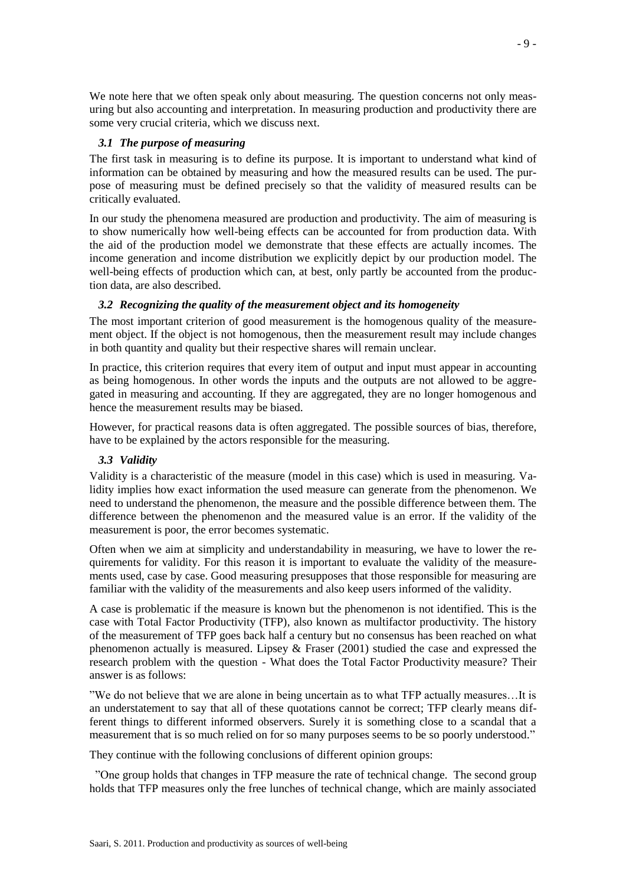We note here that we often speak only about measuring. The question concerns not only measuring but also accounting and interpretation. In measuring production and productivity there are some very crucial criteria, which we discuss next.

## *3.1 The purpose of measuring*

The first task in measuring is to define its purpose. It is important to understand what kind of information can be obtained by measuring and how the measured results can be used. The purpose of measuring must be defined precisely so that the validity of measured results can be critically evaluated.

In our study the phenomena measured are production and productivity. The aim of measuring is to show numerically how well-being effects can be accounted for from production data. With the aid of the production model we demonstrate that these effects are actually incomes. The income generation and income distribution we explicitly depict by our production model. The well-being effects of production which can, at best, only partly be accounted from the production data, are also described.

# *3.2 Recognizing the quality of the measurement object and its homogeneity*

The most important criterion of good measurement is the homogenous quality of the measurement object. If the object is not homogenous, then the measurement result may include changes in both quantity and quality but their respective shares will remain unclear.

In practice, this criterion requires that every item of output and input must appear in accounting as being homogenous. In other words the inputs and the outputs are not allowed to be aggregated in measuring and accounting. If they are aggregated, they are no longer homogenous and hence the measurement results may be biased.

However, for practical reasons data is often aggregated. The possible sources of bias, therefore, have to be explained by the actors responsible for the measuring.

# *3.3 Validity*

Validity is a characteristic of the measure (model in this case) which is used in measuring. Validity implies how exact information the used measure can generate from the phenomenon. We need to understand the phenomenon, the measure and the possible difference between them. The difference between the phenomenon and the measured value is an error. If the validity of the measurement is poor, the error becomes systematic.

Often when we aim at simplicity and understandability in measuring, we have to lower the requirements for validity. For this reason it is important to evaluate the validity of the measurements used, case by case. Good measuring presupposes that those responsible for measuring are familiar with the validity of the measurements and also keep users informed of the validity.

A case is problematic if the measure is known but the phenomenon is not identified. This is the case with Total Factor Productivity (TFP), also known as multifactor productivity. The history of the measurement of TFP goes back half a century but no consensus has been reached on what phenomenon actually is measured. Lipsey & Fraser (2001) studied the case and expressed the research problem with the question - What does the Total Factor Productivity measure? Their answer is as follows:

"We do not believe that we are alone in being uncertain as to what TFP actually measures…It is an understatement to say that all of these quotations cannot be correct; TFP clearly means different things to different informed observers. Surely it is something close to a scandal that a measurement that is so much relied on for so many purposes seems to be so poorly understood."

They continue with the following conclusions of different opinion groups:

"One group holds that changes in TFP measure the rate of technical change. The second group holds that TFP measures only the free lunches of technical change, which are mainly associated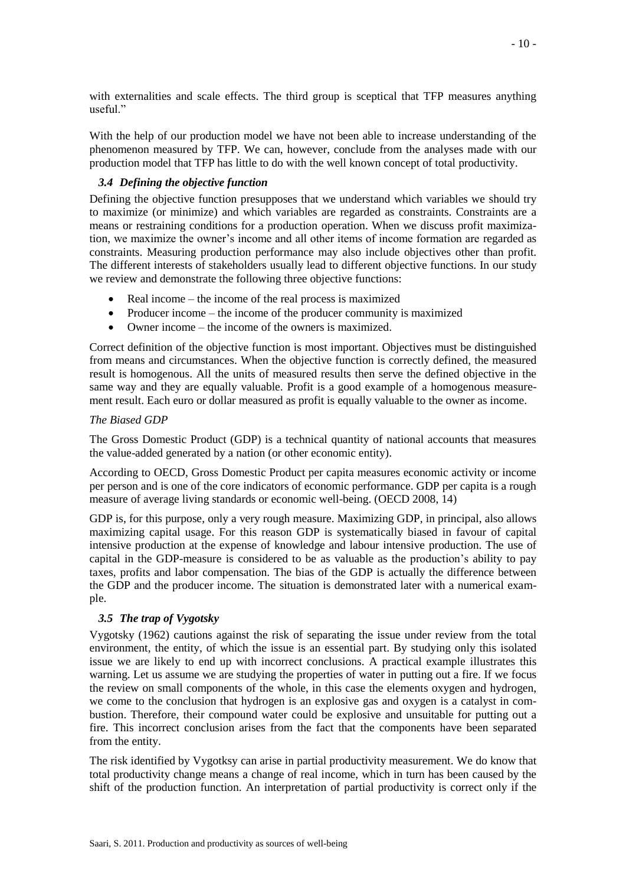with externalities and scale effects. The third group is sceptical that TFP measures anything useful."

With the help of our production model we have not been able to increase understanding of the phenomenon measured by TFP. We can, however, conclude from the analyses made with our production model that TFP has little to do with the well known concept of total productivity.

## *3.4 Defining the objective function*

Defining the objective function presupposes that we understand which variables we should try to maximize (or minimize) and which variables are regarded as constraints. Constraints are a means or restraining conditions for a production operation. When we discuss profit maximization, we maximize the owner's income and all other items of income formation are regarded as constraints. Measuring production performance may also include objectives other than profit. The different interests of stakeholders usually lead to different objective functions. In our study we review and demonstrate the following three objective functions:

- Real income the income of the real process is maximized
- Producer income the income of the producer community is maximized
- Owner income the income of the owners is maximized.

Correct definition of the objective function is most important. Objectives must be distinguished from means and circumstances. When the objective function is correctly defined, the measured result is homogenous. All the units of measured results then serve the defined objective in the same way and they are equally valuable. Profit is a good example of a homogenous measurement result. Each euro or dollar measured as profit is equally valuable to the owner as income.

## *The Biased GDP*

The Gross Domestic Product (GDP) is a technical quantity of national accounts that measures the value-added generated by a nation (or other economic entity).

According to OECD, Gross Domestic Product per capita measures economic activity or income per person and is one of the core indicators of economic performance. GDP per capita is a rough measure of average living standards or economic well-being. (OECD 2008, 14)

GDP is, for this purpose, only a very rough measure. Maximizing GDP, in principal, also allows maximizing capital usage. For this reason GDP is systematically biased in favour of capital intensive production at the expense of knowledge and labour intensive production. The use of capital in the GDP-measure is considered to be as valuable as the production's ability to pay taxes, profits and labor compensation. The bias of the GDP is actually the difference between the GDP and the producer income. The situation is demonstrated later with a numerical example.

# *3.5 The trap of Vygotsky*

Vygotsky (1962) cautions against the risk of separating the issue under review from the total environment, the entity, of which the issue is an essential part. By studying only this isolated issue we are likely to end up with incorrect conclusions. A practical example illustrates this warning. Let us assume we are studying the properties of water in putting out a fire. If we focus the review on small components of the whole, in this case the elements oxygen and hydrogen, we come to the conclusion that hydrogen is an explosive gas and oxygen is a catalyst in combustion. Therefore, their compound water could be explosive and unsuitable for putting out a fire. This incorrect conclusion arises from the fact that the components have been separated from the entity.

The risk identified by Vygotksy can arise in partial productivity measurement. We do know that total productivity change means a change of real income, which in turn has been caused by the shift of the production function. An interpretation of partial productivity is correct only if the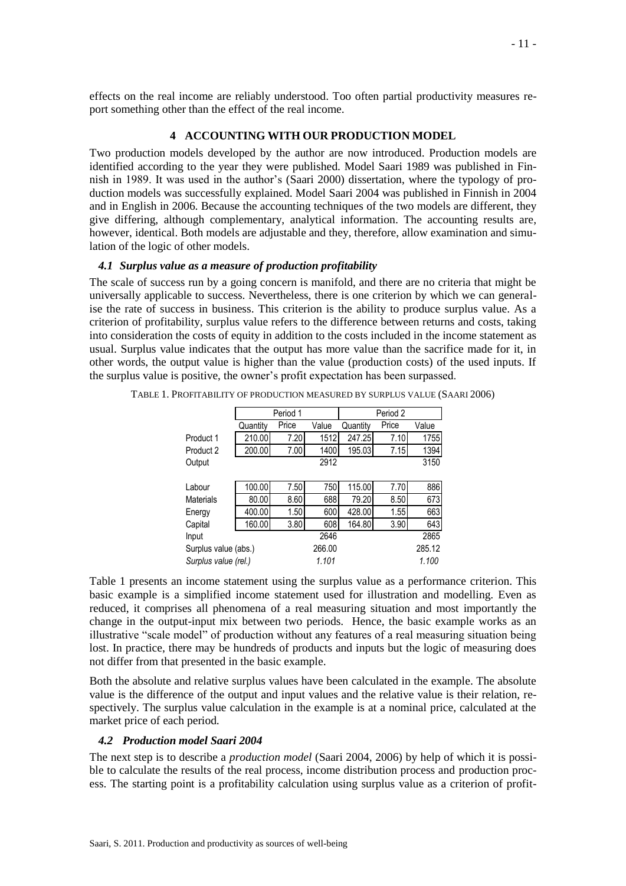effects on the real income are reliably understood. Too often partial productivity measures report something other than the effect of the real income.

## **4 ACCOUNTING WITH OUR PRODUCTION MODEL**

Two production models developed by the author are now introduced. Production models are identified according to the year they were published. Model Saari 1989 was published in Finnish in 1989. It was used in the author's (Saari 2000) dissertation, where the typology of production models was successfully explained. Model Saari 2004 was published in Finnish in 2004 and in English in 2006. Because the accounting techniques of the two models are different, they give differing, although complementary, analytical information. The accounting results are, however, identical. Both models are adjustable and they, therefore, allow examination and simulation of the logic of other models.

#### *4.1 Surplus value as a measure of production profitability*

The scale of success run by a going concern is manifold, and there are no criteria that might be universally applicable to success. Nevertheless, there is one criterion by which we can generalise the rate of success in business. This criterion is the ability to produce surplus value. As a criterion of profitability, surplus value refers to the difference between returns and costs, taking into consideration the costs of equity in addition to the costs included in the income statement as usual. Surplus value indicates that the output has more value than the sacrifice made for it, in other words, the output value is higher than the value (production costs) of the used inputs. If the surplus value is positive, the owner's profit expectation has been surpassed.

|                      |          | Period 1 |                | Period 2 |        |       |  |
|----------------------|----------|----------|----------------|----------|--------|-------|--|
|                      | Quantity | Price    | Value          | Quantity | Price  | Value |  |
| Product 1            | 210.00   | 7.20     | 1512           | 247.25   | 7.10   | 1755  |  |
| Product 2            | 200.00   | 7.00     | 1400           | 195.03   | 7.15   | 1394  |  |
| Output               |          |          | 3150           |          |        |       |  |
|                      |          |          |                |          |        |       |  |
| Labour               | 100.00   | 7.50     | 750            | 115.00   | 7.70   | 886   |  |
| Materials            | 80.00    | 8.60     | 688            | 79.20    | 8.50   | 673   |  |
| Energy               | 400.00   | 1.50     | 600            | 428.00   | 1.55   | 663   |  |
| Capital              | 160.00   | 3.80     | 608            | 164.80   | 3.90   | 643   |  |
| Input                |          |          | 2646           |          |        | 2865  |  |
| Surplus value (abs.) |          | 266.00   |                |          | 285.12 |       |  |
| Surplus value (rel.) |          |          | 1.101<br>1.100 |          |        |       |  |

TABLE 1. PROFITABILITY OF PRODUCTION MEASURED BY SURPLUS VALUE (SAARI 2006)

Table 1 presents an income statement using the surplus value as a performance criterion. This basic example is a simplified income statement used for illustration and modelling. Even as reduced, it comprises all phenomena of a real measuring situation and most importantly the change in the output-input mix between two periods. Hence, the basic example works as an illustrative "scale model" of production without any features of a real measuring situation being lost. In practice, there may be hundreds of products and inputs but the logic of measuring does not differ from that presented in the basic example.

Both the absolute and relative surplus values have been calculated in the example. The absolute value is the difference of the output and input values and the relative value is their relation, respectively. The surplus value calculation in the example is at a nominal price, calculated at the market price of each period.

#### *4.2 Production model Saari 2004*

The next step is to describe a *production model* (Saari 2004, 2006) by help of which it is possible to calculate the results of the real process, income distribution process and production process. The starting point is a profitability calculation using surplus value as a criterion of profit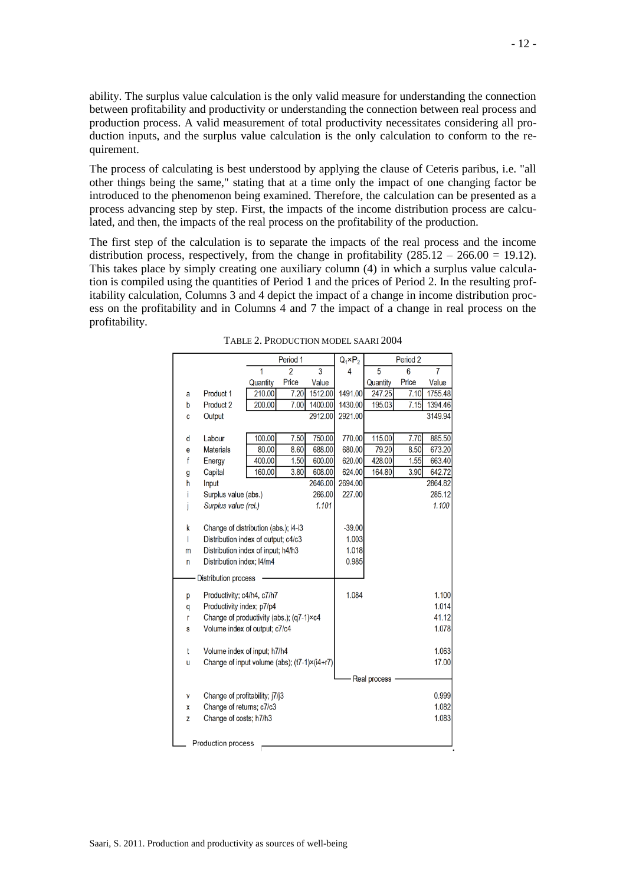ability. The surplus value calculation is the only valid measure for understanding the connection between profitability and productivity or understanding the connection between real process and production process. A valid measurement of total productivity necessitates considering all production inputs, and the surplus value calculation is the only calculation to conform to the requirement.

The process of calculating is best understood by applying the clause of Ceteris paribus, i.e. "all other things being the same," stating that at a time only the impact of one changing factor be introduced to the phenomenon being examined. Therefore, the calculation can be presented as a process advancing step by step. First, the impacts of the income distribution process are calculated, and then, the impacts of the real process on the profitability of the production.

The first step of the calculation is to separate the impacts of the real process and the income distribution process, respectively, from the change in profitability  $(285.12 - 266.00 = 19.12)$ . This takes place by simply creating one auxiliary column (4) in which a surplus value calculation is compiled using the quantities of Period 1 and the prices of Period 2. In the resulting profitability calculation, Columns 3 and 4 depict the impact of a change in income distribution process on the profitability and in Columns 4 and 7 the impact of a change in real process on the profitability.

|   |                                              | Period 1 |                |         | $Q_1 \times P_2$ |              | Period <sub>2</sub> |         |
|---|----------------------------------------------|----------|----------------|---------|------------------|--------------|---------------------|---------|
|   |                                              | 1        | $\overline{2}$ | 3       | 4                | 5            | 6                   | 7       |
|   |                                              | Quantity | Price          | Value   |                  | Quantity     | Price               | Value   |
| a | Product 1                                    | 210.00   | 7.20           | 1512.00 | 1491.00          | 247.25       | 7.10                | 1755.48 |
| b | Product 2                                    | 200.00   | 7.00           | 1400.00 | 1430.00          | 195.03       | 7.15                | 1394.46 |
| C | Output                                       |          |                | 2912.00 | 2921.00          |              |                     | 3149.94 |
|   |                                              |          |                |         |                  |              |                     |         |
| d | Labour                                       | 100.00   | 7.50           | 750.00  | 770.00           | 115.00       | 7.70                | 885.50  |
| e | <b>Materials</b>                             | 80.00    | 8.60           | 688.00  | 680.00           | 79.20        | 8.50                | 673.20  |
| f | Energy                                       | 400.00   | 1.50           | 600.00  | 620.00           | 428.00       | 1.55                | 663.40  |
| g | Capital                                      | 160.00   | 3.80           | 608.00  | 624.00           | 164.80       | 3.90                | 642.72  |
| h | Input                                        |          |                | 2646.00 | 2694.00          |              |                     | 2864.82 |
| i | Surplus value (abs.)                         |          |                | 266.00  | 227.00           |              |                     | 285.12  |
| i | Surplus value (rel.)                         |          |                | 1.101   |                  |              |                     | 1.100   |
|   |                                              |          |                |         |                  |              |                     |         |
| k | Change of distribution (abs.); i4-i3         |          |                |         | $-39.00$         |              |                     |         |
| T | Distribution index of output; c4/c3          |          |                |         | 1.003            |              |                     |         |
| m | Distribution index of input; h4/h3           |          |                |         | 1.018            |              |                     |         |
| n | Distribution index; I4/m4                    |          |                |         | 0.985            |              |                     |         |
|   | Distribution process                         |          |                |         |                  |              |                     |         |
|   |                                              |          |                |         |                  |              |                     |         |
| p | Productivity; c4/h4, c7/h7                   |          |                |         | 1.084            |              |                     | 1.100   |
| q | Productivity index; p7/p4                    |          |                |         |                  |              |                     | 1.014   |
| r | Change of productivity (abs.); (q7-1)×c4     |          |                |         |                  |              |                     | 41.12   |
| S | Volume index of output; c7/c4                |          |                |         |                  |              |                     | 1.078   |
|   |                                              |          |                |         |                  |              |                     |         |
| t | Volume index of input; h7/h4                 |          |                |         |                  |              |                     | 1.063   |
| u | Change of input volume (abs); (t7-1)×(i4+r7) |          |                |         |                  |              |                     | 17.00   |
|   |                                              |          |                |         |                  | Real process |                     |         |
|   |                                              |          |                |         |                  |              |                     |         |
| V | Change of profitability; j7/j3               |          |                |         |                  |              |                     | 0.999   |
| χ | Change of returns; c7/c3                     |          |                |         |                  |              |                     | 1.082   |
| Z | Change of costs; h7/h3                       |          |                |         |                  |              |                     | 1.083   |
|   |                                              |          |                |         |                  |              |                     |         |
|   | Production process                           |          |                |         |                  |              |                     |         |

TABLE 2. PRODUCTION MODEL SAARI 2004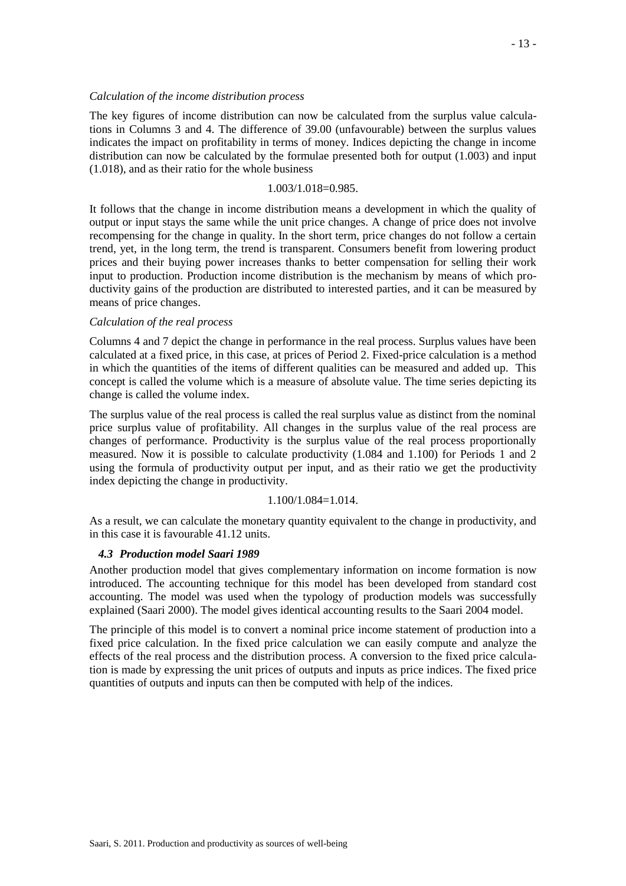#### *Calculation of the income distribution process*

The key figures of income distribution can now be calculated from the surplus value calculations in Columns 3 and 4. The difference of 39.00 (unfavourable) between the surplus values indicates the impact on profitability in terms of money. Indices depicting the change in income distribution can now be calculated by the formulae presented both for output (1.003) and input (1.018), and as their ratio for the whole business

#### 1.003/1.018=0.985.

It follows that the change in income distribution means a development in which the quality of output or input stays the same while the unit price changes. A change of price does not involve recompensing for the change in quality. In the short term, price changes do not follow a certain trend, yet, in the long term, the trend is transparent. Consumers benefit from lowering product prices and their buying power increases thanks to better compensation for selling their work input to production. Production income distribution is the mechanism by means of which productivity gains of the production are distributed to interested parties, and it can be measured by means of price changes.

#### *Calculation of the real process*

Columns 4 and 7 depict the change in performance in the real process. Surplus values have been calculated at a fixed price, in this case, at prices of Period 2. Fixed-price calculation is a method in which the quantities of the items of different qualities can be measured and added up. This concept is called the volume which is a measure of absolute value. The time series depicting its change is called the volume index.

The surplus value of the real process is called the real surplus value as distinct from the nominal price surplus value of profitability. All changes in the surplus value of the real process are changes of performance. Productivity is the surplus value of the real process proportionally measured. Now it is possible to calculate productivity (1.084 and 1.100) for Periods 1 and 2 using the formula of productivity output per input, and as their ratio we get the productivity index depicting the change in productivity.

## 1.100/1.084=1.014.

As a result, we can calculate the monetary quantity equivalent to the change in productivity, and in this case it is favourable 41.12 units.

## *4.3 Production model Saari 1989*

Another production model that gives complementary information on income formation is now introduced. The accounting technique for this model has been developed from standard cost accounting. The model was used when the typology of production models was successfully explained (Saari 2000). The model gives identical accounting results to the Saari 2004 model.

The principle of this model is to convert a nominal price income statement of production into a fixed price calculation. In the fixed price calculation we can easily compute and analyze the effects of the real process and the distribution process. A conversion to the fixed price calculation is made by expressing the unit prices of outputs and inputs as price indices. The fixed price quantities of outputs and inputs can then be computed with help of the indices.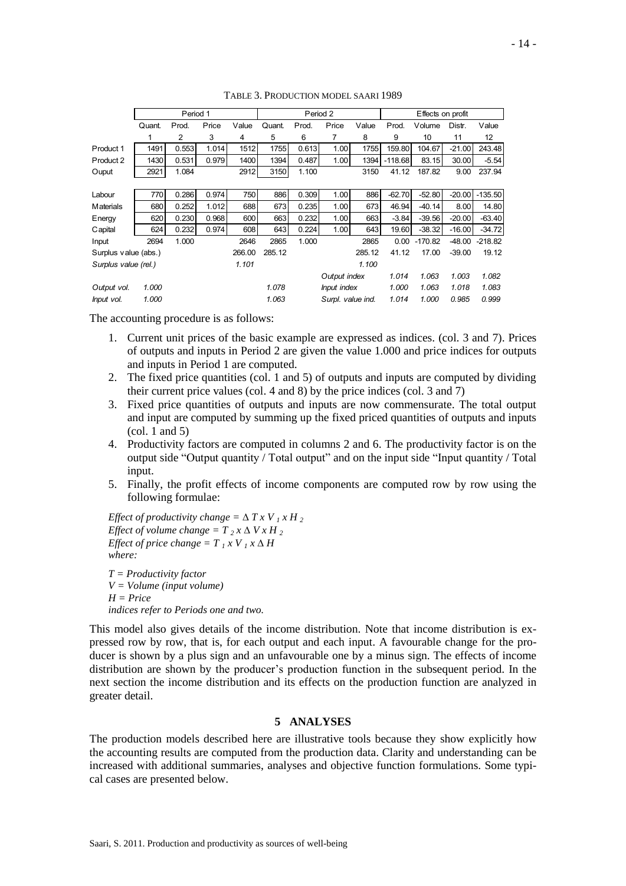|                      | Period 1 |       |       |        | Period 2 |       |                   |        | Effects on profit |           |          |                 |
|----------------------|----------|-------|-------|--------|----------|-------|-------------------|--------|-------------------|-----------|----------|-----------------|
|                      | Quant.   | Prod. | Price | Value  | Quant.   | Prod. | Price             | Value  | Prod.             | Volume    | Distr.   | Value           |
|                      | 1        | 2     | 3     | 4      | 5        | 6     | 7                 | 8      | 9                 | 10        | 11       | 12 <sup>°</sup> |
| Product 1            | 1491     | 0.553 | 1.014 | 1512   | 1755     | 0.613 | 1.00              | 1755   | 159.80            | 104.67    | $-21.00$ | 243.48          |
| Product 2            | 1430     | 0.531 | 0.979 | 1400   | 1394     | 0.487 | 1.00              | 1394   | $-118.68$         | 83.15     | 30.00    | $-5.54$         |
| Ouput                | 2921     | 1.084 |       | 2912   | 3150     | 1.100 |                   | 3150   | 41.12             | 187.82    | 9.00     | 237.94          |
|                      |          |       |       |        |          |       |                   |        |                   |           |          |                 |
| Labour               | 770      | 0.286 | 0.974 | 750    | 886      | 0.309 | 1.00              | 886    | $-62.70$          | $-52.80$  | $-20.00$ | $-135.50$       |
| <b>Materials</b>     | 680      | 0.252 | 1.012 | 688    | 673      | 0.235 | 1.00              | 673    | 46.94             | $-40.14$  | 8.00     | 14.80           |
| Energy               | 620      | 0.230 | 0.968 | 600    | 663      | 0.232 | 1.00              | 663    | $-3.84$           | $-39.56$  | $-20.00$ | $-63.40$        |
| Capital              | 624      | 0.232 | 0.974 | 608    | 643      | 0.224 | 1.00              | 643    | 19.60             | $-38.32$  | $-16.00$ | $-34.72$        |
| Input                | 2694     | 1.000 |       | 2646   | 2865     | 1.000 |                   | 2865   | 0.00              | $-170.82$ | $-48.00$ | $-218.82$       |
| Surplus value (abs.) |          |       |       | 266.00 | 285.12   |       |                   | 285.12 | 41.12             | 17.00     | $-39.00$ | 19.12           |
| Surplus value (rel.) |          |       |       | 1.101  |          |       |                   | 1.100  |                   |           |          |                 |
|                      |          |       |       |        |          |       | Output index      |        | 1.014             | 1.063     | 1.003    | 1.082           |
| Output vol.          | 1.000    |       |       |        | 1.078    |       | Input index       |        | 1.000             | 1.063     | 1.018    | 1.083           |
| Input vol.           | 1.000    |       |       |        | 1.063    |       | Surpl. value ind. |        | 1.014             | 1.000     | 0.985    | 0.999           |

TABLE 3. PRODUCTION MODEL SAARI 1989

The accounting procedure is as follows:

- 1. Current unit prices of the basic example are expressed as indices. (col. 3 and 7). Prices of outputs and inputs in Period 2 are given the value 1.000 and price indices for outputs and inputs in Period 1 are computed.
- 2. The fixed price quantities (col. 1 and 5) of outputs and inputs are computed by dividing their current price values (col. 4 and 8) by the price indices (col. 3 and 7)
- 3. Fixed price quantities of outputs and inputs are now commensurate. The total output and input are computed by summing up the fixed priced quantities of outputs and inputs (col. 1 and 5)
- 4. Productivity factors are computed in columns 2 and 6. The productivity factor is on the output side "Output quantity / Total output" and on the input side "Input quantity / Total input.
- 5. Finally, the profit effects of income components are computed row by row using the following formulae:

*Effect of productivity change =*  $\Delta T X V_I X H_2$ *Effect of volume change =*  $T_2 x \Delta V x H_2$ *Effect of price change = T<sub>1</sub> x V<sub>1</sub> x*  $\Delta H$ *where:*

*T = Productivity factor V = Volume (input volume) H = Price indices refer to Periods one and two.*

This model also gives details of the income distribution. Note that income distribution is expressed row by row, that is, for each output and each input. A favourable change for the producer is shown by a plus sign and an unfavourable one by a minus sign. The effects of income distribution are shown by the producer's production function in the subsequent period. In the next section the income distribution and its effects on the production function are analyzed in greater detail.

## **5 ANALYSES**

The production models described here are illustrative tools because they show explicitly how the accounting results are computed from the production data. Clarity and understanding can be increased with additional summaries, analyses and objective function formulations. Some typical cases are presented below.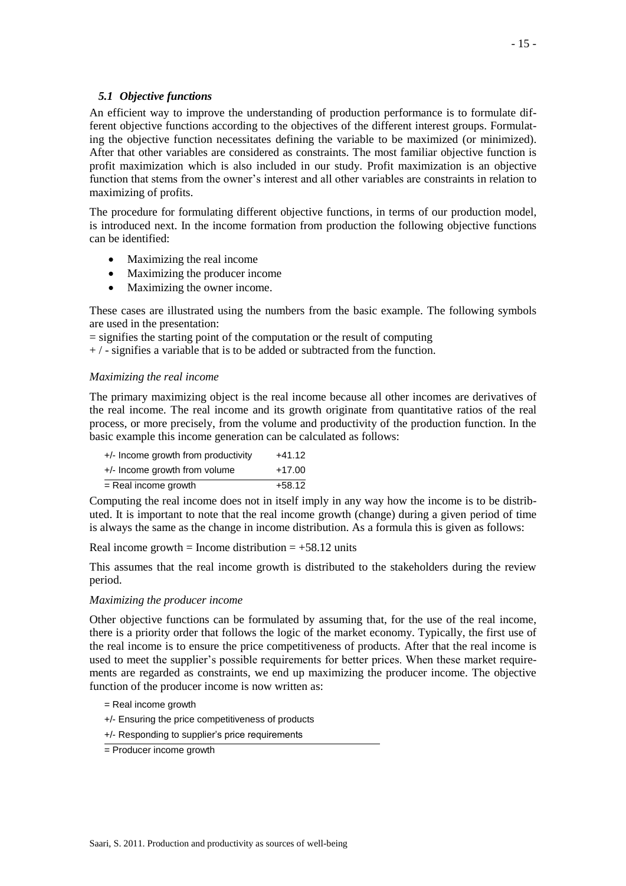## *5.1 Objective functions*

An efficient way to improve the understanding of production performance is to formulate different objective functions according to the objectives of the different interest groups. Formulating the objective function necessitates defining the variable to be maximized (or minimized). After that other variables are considered as constraints. The most familiar objective function is profit maximization which is also included in our study. Profit maximization is an objective function that stems from the owner's interest and all other variables are constraints in relation to maximizing of profits.

The procedure for formulating different objective functions, in terms of our production model, is introduced next. In the income formation from production the following objective functions can be identified:

- Maximizing the real income
- Maximizing the producer income
- Maximizing the owner income.

These cases are illustrated using the numbers from the basic example. The following symbols are used in the presentation:

 $=$  signifies the starting point of the computation or the result of computing

 $+$  / - signifies a variable that is to be added or subtracted from the function.

## *Maximizing the real income*

The primary maximizing object is the real income because all other incomes are derivatives of the real income. The real income and its growth originate from quantitative ratios of the real process, or more precisely, from the volume and productivity of the production function. In the basic example this income generation can be calculated as follows:

| +/- Income growth from productivity | $+41.12$ |
|-------------------------------------|----------|
| +/- Income growth from volume       | $+17.00$ |
| = Real income growth                | $+58.12$ |

Computing the real income does not in itself imply in any way how the income is to be distributed. It is important to note that the real income growth (change) during a given period of time is always the same as the change in income distribution. As a formula this is given as follows:

Real income growth = Income distribution =  $+58.12$  units

This assumes that the real income growth is distributed to the stakeholders during the review period.

## *Maximizing the producer income*

Other objective functions can be formulated by assuming that, for the use of the real income, there is a priority order that follows the logic of the market economy. Typically, the first use of the real income is to ensure the price competitiveness of products. After that the real income is used to meet the supplier's possible requirements for better prices. When these market requirements are regarded as constraints, we end up maximizing the producer income. The objective function of the producer income is now written as:

- = Real income growth
- +/- Ensuring the price competitiveness of products
- +/- Responding to supplier's price requirements

<sup>=</sup> Producer income growth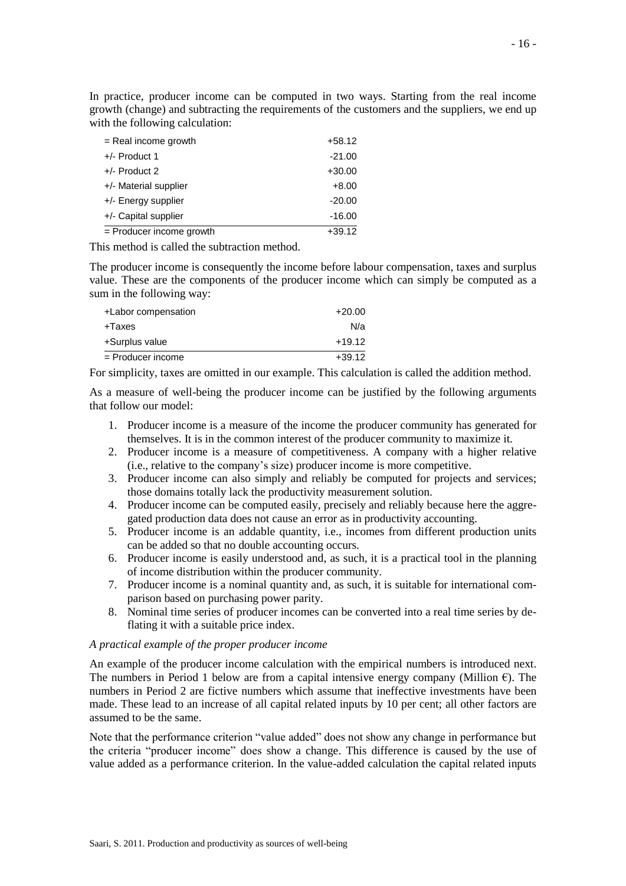In practice, producer income can be computed in two ways. Starting from the real income growth (change) and subtracting the requirements of the customers and the suppliers, we end up with the following calculation:

| $=$ Real income growth     | $+58.12$ |
|----------------------------|----------|
| $+/-$ Product 1            | $-21.00$ |
| $+/-$ Product 2            | $+30.00$ |
| +/- Material supplier      | $+8.00$  |
| +/- Energy supplier        | $-20.00$ |
| +/- Capital supplier       | $-16.00$ |
| $=$ Producer income growth | $+39.12$ |

This method is called the subtraction method.

The producer income is consequently the income before labour compensation, taxes and surplus value. These are the components of the producer income which can simply be computed as a sum in the following way:

| +Labor compensation | $+20.00$ |
|---------------------|----------|
| +Taxes              | N/a      |
| +Surplus value      | $+19.12$ |
| = Producer income   | $+39.12$ |

For simplicity, taxes are omitted in our example. This calculation is called the addition method.

As a measure of well-being the producer income can be justified by the following arguments that follow our model:

- 1. Producer income is a measure of the income the producer community has generated for themselves. It is in the common interest of the producer community to maximize it.
- 2. Producer income is a measure of competitiveness. A company with a higher relative (i.e., relative to the company's size) producer income is more competitive.
- 3. Producer income can also simply and reliably be computed for projects and services; those domains totally lack the productivity measurement solution.
- 4. Producer income can be computed easily, precisely and reliably because here the aggregated production data does not cause an error as in productivity accounting.
- 5. Producer income is an addable quantity, i.e., incomes from different production units can be added so that no double accounting occurs.
- 6. Producer income is easily understood and, as such, it is a practical tool in the planning of income distribution within the producer community.
- 7. Producer income is a nominal quantity and, as such, it is suitable for international comparison based on purchasing power parity.
- 8. Nominal time series of producer incomes can be converted into a real time series by deflating it with a suitable price index.

#### *A practical example of the proper producer income*

An example of the producer income calculation with the empirical numbers is introduced next. The numbers in Period 1 below are from a capital intensive energy company (Million  $\epsilon$ ). The numbers in Period 2 are fictive numbers which assume that ineffective investments have been made. These lead to an increase of all capital related inputs by 10 per cent; all other factors are assumed to be the same.

Note that the performance criterion "value added" does not show any change in performance but the criteria "producer income" does show a change. This difference is caused by the use of value added as a performance criterion. In the value-added calculation the capital related inputs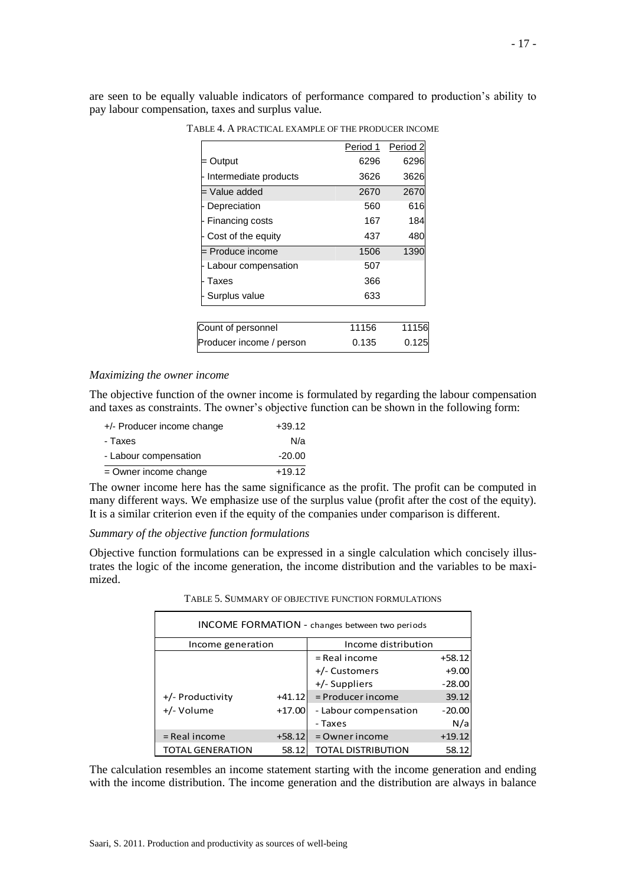are seen to be equally valuable indicators of performance compared to production's ability to pay labour compensation, taxes and surplus value.

|                          | Period 1 | Period <sub>2</sub> |
|--------------------------|----------|---------------------|
| Output                   | 6296     | 6296                |
| Intermediate products    | 3626     | 3626                |
| = Value added            | 2670     | 2670                |
| Depreciation             | 560      | 616                 |
| Financing costs          | 167      | 184                 |
| Cost of the equity       | 437      | 480                 |
| = Produce income         | 1506     | 1390                |
| Labour compensation      | 507      |                     |
| Taxes                    | 366      |                     |
| Surplus value            | 633      |                     |
|                          |          |                     |
| Count of personnel       | 11156    | 11156               |
| Producer income / person | 0.135    | 0.125               |

TABLE 4. A PRACTICAL EXAMPLE OF THE PRODUCER INCOME

#### *Maximizing the owner income*

The objective function of the owner income is formulated by regarding the labour compensation and taxes as constraints. The owner's objective function can be shown in the following form:

| +/- Producer income change | $+39.12$ |
|----------------------------|----------|
| - Taxes                    | N/a      |
| - Labour compensation      | $-20.00$ |
| $=$ Owner income change    | $+19.12$ |

The owner income here has the same significance as the profit. The profit can be computed in many different ways. We emphasize use of the surplus value (profit after the cost of the equity). It is a similar criterion even if the equity of the companies under comparison is different.

## *Summary of the objective function formulations*

Objective function formulations can be expressed in a single calculation which concisely illustrates the logic of the income generation, the income distribution and the variables to be maximized.

TABLE 5. SUMMARY OF OBJECTIVE FUNCTION FORMULATIONS

| <b>INCOME FORMATION</b> - changes between two periods |          |                           |          |  |  |  |
|-------------------------------------------------------|----------|---------------------------|----------|--|--|--|
| Income generation                                     |          | Income distribution       |          |  |  |  |
|                                                       |          | $=$ Real income           | $+58.12$ |  |  |  |
|                                                       |          | +/- Customers             | $+9.00$  |  |  |  |
|                                                       |          | +/- Suppliers             | $-28.00$ |  |  |  |
| +/- Productivity                                      | $+41.12$ | = Producer income         | 39.12    |  |  |  |
| +/- Volume                                            | $+17.00$ | - Labour compensation     | $-20.00$ |  |  |  |
|                                                       |          | - Taxes                   | N/a      |  |  |  |
| = Real income                                         | $+58.12$ | = Owner income            | $+19.12$ |  |  |  |
| <b>TOTAL GENERATION</b>                               | 58.12    | <b>TOTAL DISTRIBUTION</b> | 58.12    |  |  |  |

The calculation resembles an income statement starting with the income generation and ending with the income distribution. The income generation and the distribution are always in balance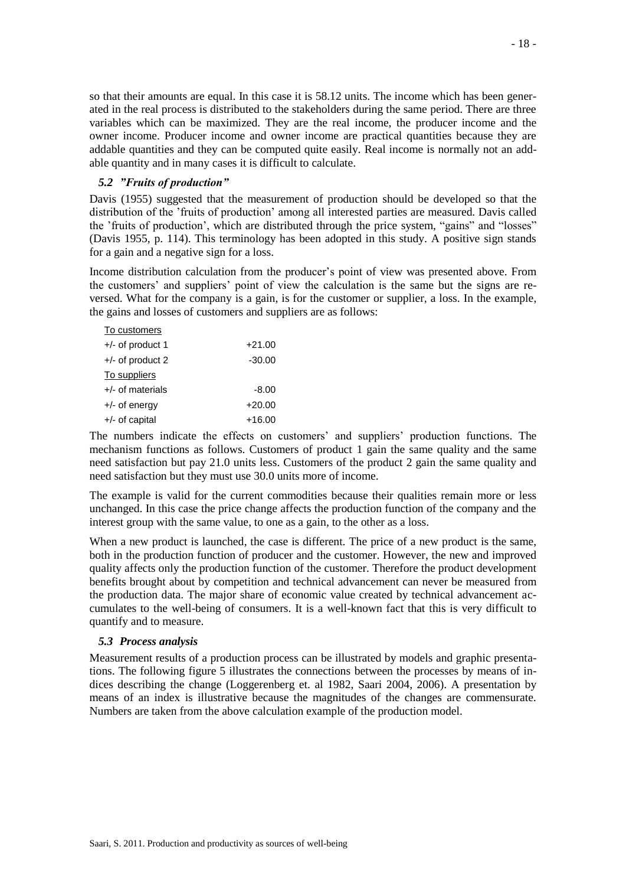so that their amounts are equal. In this case it is 58.12 units. The income which has been generated in the real process is distributed to the stakeholders during the same period. There are three variables which can be maximized. They are the real income, the producer income and the owner income. Producer income and owner income are practical quantities because they are addable quantities and they can be computed quite easily. Real income is normally not an addable quantity and in many cases it is difficult to calculate.

## *5.2 "Fruits of production"*

Davis (1955) suggested that the measurement of production should be developed so that the distribution of the 'fruits of production' among all interested parties are measured. Davis called the 'fruits of production', which are distributed through the price system, "gains" and "losses" (Davis 1955, p. 114). This terminology has been adopted in this study. A positive sign stands for a gain and a negative sign for a loss.

Income distribution calculation from the producer's point of view was presented above. From the customers' and suppliers' point of view the calculation is the same but the signs are reversed. What for the company is a gain, is for the customer or supplier, a loss. In the example, the gains and losses of customers and suppliers are as follows:

| To customers       |          |
|--------------------|----------|
| $+/-$ of product 1 | $+21.00$ |
| $+/-$ of product 2 | $-30.00$ |
| To suppliers       |          |
| $+/-$ of materials | $-8.00$  |
| $+/-$ of energy    | $+20.00$ |
| $+/-$ of capital   | $+16.00$ |

The numbers indicate the effects on customers' and suppliers' production functions. The mechanism functions as follows. Customers of product 1 gain the same quality and the same need satisfaction but pay 21.0 units less. Customers of the product 2 gain the same quality and need satisfaction but they must use 30.0 units more of income.

The example is valid for the current commodities because their qualities remain more or less unchanged. In this case the price change affects the production function of the company and the interest group with the same value, to one as a gain, to the other as a loss.

When a new product is launched, the case is different. The price of a new product is the same, both in the production function of producer and the customer. However, the new and improved quality affects only the production function of the customer. Therefore the product development benefits brought about by competition and technical advancement can never be measured from the production data. The major share of economic value created by technical advancement accumulates to the well-being of consumers. It is a well-known fact that this is very difficult to quantify and to measure.

#### *5.3 Process analysis*

Measurement results of a production process can be illustrated by models and graphic presentations. The following figure 5 illustrates the connections between the processes by means of indices describing the change (Loggerenberg et. al 1982, Saari 2004, 2006). A presentation by means of an index is illustrative because the magnitudes of the changes are commensurate. Numbers are taken from the above calculation example of the production model.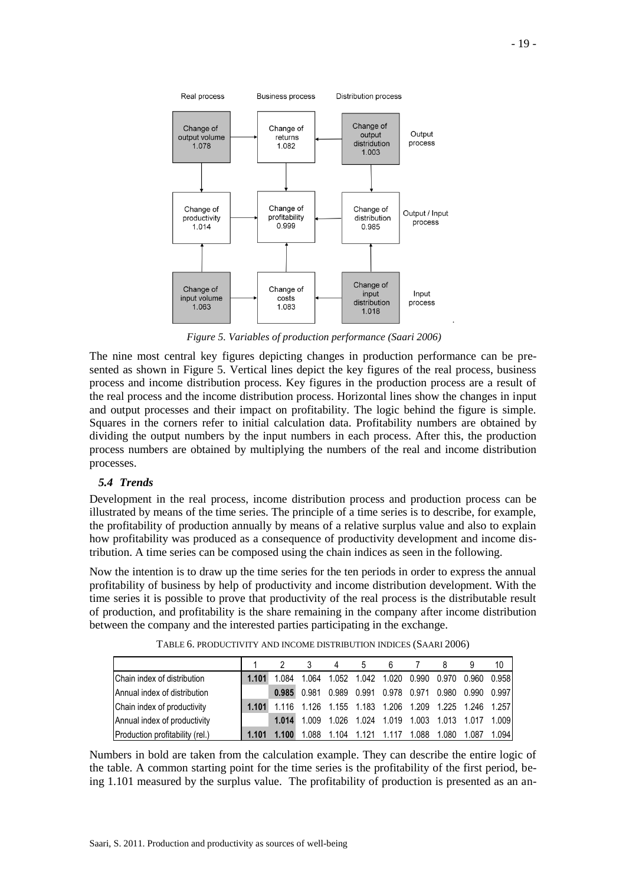

*Figure 5. Variables of production performance (Saari 2006)*

The nine most central key figures depicting changes in production performance can be presented as shown in Figure 5. Vertical lines depict the key figures of the real process, business process and income distribution process. Key figures in the production process are a result of the real process and the income distribution process. Horizontal lines show the changes in input and output processes and their impact on profitability. The logic behind the figure is simple. Squares in the corners refer to initial calculation data. Profitability numbers are obtained by dividing the output numbers by the input numbers in each process. After this, the production process numbers are obtained by multiplying the numbers of the real and income distribution processes.

# *5.4 Trends*

Development in the real process, income distribution process and production process can be illustrated by means of the time series. The principle of a time series is to describe, for example, the profitability of production annually by means of a relative surplus value and also to explain how profitability was produced as a consequence of productivity development and income distribution. A time series can be composed using the chain indices as seen in the following.

Now the intention is to draw up the time series for the ten periods in order to express the annual profitability of business by help of productivity and income distribution development. With the time series it is possible to prove that productivity of the real process is the distributable result of production, and profitability is the share remaining in the company after income distribution between the company and the interested parties participating in the exchange.

|                                 |       |       |                                                       |                                                 |  |       |                                           | 10    |
|---------------------------------|-------|-------|-------------------------------------------------------|-------------------------------------------------|--|-------|-------------------------------------------|-------|
| Chain index of distribution     | 1.101 | 1.084 | 1.064                                                 |                                                 |  |       | 1.052 1.042 1.020 0.990 0.970 0.960 0.958 |       |
| Annual index of distribution    |       |       | $0.985$ 0.981                                         | 0.989  0.991  0.978  0.971  0.980  0.990  0.997 |  |       |                                           |       |
| Chain index of productivity     | 1.101 |       | 1.116 1.126 1.155 1.183 1.206 1.209 1.225 1.246 1.257 |                                                 |  |       |                                           |       |
| Annual index of productivity    |       | 1.014 | 1.009                                                 | 1.026 1.024 1.019 1.003 1.013 1.017 1.009       |  |       |                                           |       |
| Production profitability (rel.) | 1.101 |       | 1.088                                                 | 1.104                                           |  | 1.080 | 1.087                                     | 1.094 |

TABLE 6. PRODUCTIVITY AND INCOME DISTRIBUTION INDICES (SAARI 2006)

Numbers in bold are taken from the calculation example. They can describe the entire logic of the table. A common starting point for the time series is the profitability of the first period, being 1.101 measured by the surplus value. The profitability of production is presented as an an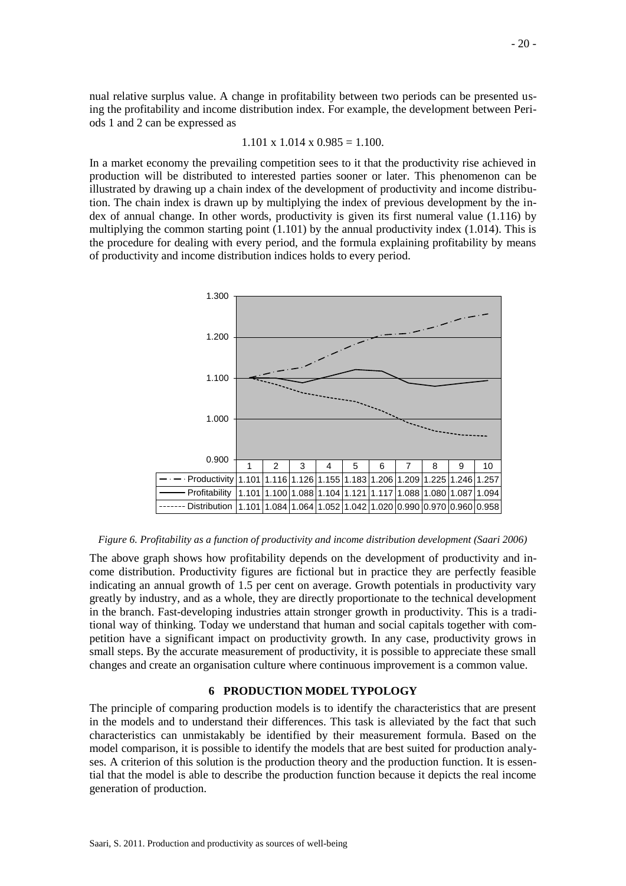nual relative surplus value. A change in profitability between two periods can be presented using the profitability and income distribution index. For example, the development between Periods 1 and 2 can be expressed as

$$
1.101 \times 1.014 \times 0.985 = 1.100.
$$

In a market economy the prevailing competition sees to it that the productivity rise achieved in production will be distributed to interested parties sooner or later. This phenomenon can be illustrated by drawing up a chain index of the development of productivity and income distribution. The chain index is drawn up by multiplying the index of previous development by the index of annual change. In other words, productivity is given its first numeral value (1.116) by multiplying the common starting point  $(1.101)$  by the annual productivity index  $(1.014)$ . This is the procedure for dealing with every period, and the formula explaining profitability by means of productivity and income distribution indices holds to every period.



#### *Figure 6. Profitability as a function of productivity and income distribution development (Saari 2006)*

The above graph shows how profitability depends on the development of productivity and income distribution. Productivity figures are fictional but in practice they are perfectly feasible indicating an annual growth of 1.5 per cent on average. Growth potentials in productivity vary greatly by industry, and as a whole, they are directly proportionate to the technical development in the branch. Fast-developing industries attain stronger growth in productivity. This is a traditional way of thinking. Today we understand that human and social capitals together with competition have a significant impact on productivity growth. In any case, productivity grows in small steps. By the accurate measurement of productivity, it is possible to appreciate these small changes and create an organisation culture where continuous improvement is a common value.

## **6 PRODUCTION MODEL TYPOLOGY**

The principle of comparing production models is to identify the characteristics that are present in the models and to understand their differences. This task is alleviated by the fact that such characteristics can unmistakably be identified by their measurement formula. Based on the model comparison, it is possible to identify the models that are best suited for production analyses. A criterion of this solution is the production theory and the production function. It is essential that the model is able to describe the production function because it depicts the real income generation of production.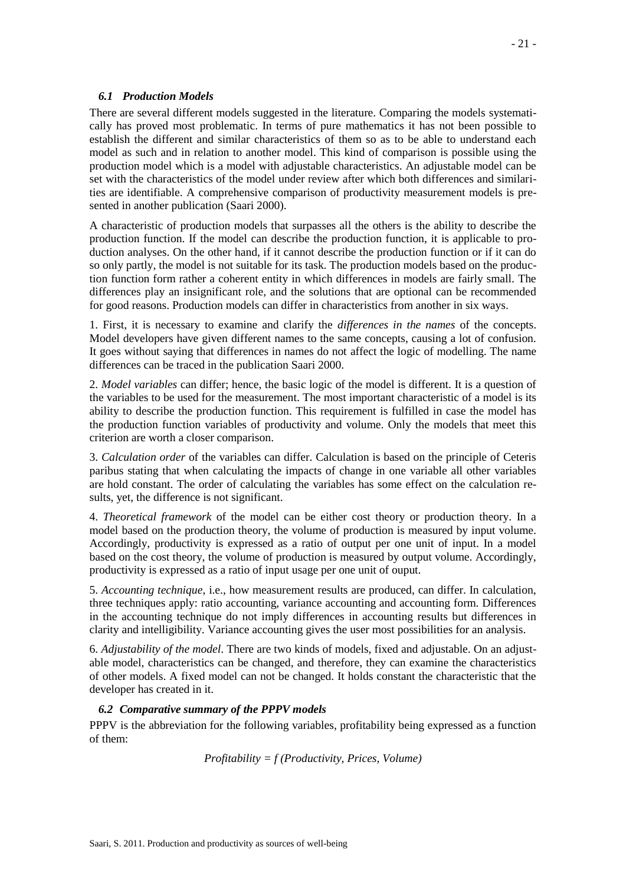## *6.1 Production Models*

There are several different models suggested in the literature. Comparing the models systematically has proved most problematic. In terms of pure mathematics it has not been possible to establish the different and similar characteristics of them so as to be able to understand each model as such and in relation to another model. This kind of comparison is possible using the production model which is a model with adjustable characteristics. An adjustable model can be set with the characteristics of the model under review after which both differences and similarities are identifiable. A comprehensive comparison of productivity measurement models is presented in another publication (Saari 2000).

A characteristic of production models that surpasses all the others is the ability to describe the production function. If the model can describe the production function, it is applicable to production analyses. On the other hand, if it cannot describe the production function or if it can do so only partly, the model is not suitable for its task. The production models based on the production function form rather a coherent entity in which differences in models are fairly small. The differences play an insignificant role, and the solutions that are optional can be recommended for good reasons. Production models can differ in characteristics from another in six ways.

1. First, it is necessary to examine and clarify the *differences in the names* of the concepts. Model developers have given different names to the same concepts, causing a lot of confusion. It goes without saying that differences in names do not affect the logic of modelling. The name differences can be traced in the publication Saari 2000.

2. *Model variables* can differ; hence, the basic logic of the model is different. It is a question of the variables to be used for the measurement. The most important characteristic of a model is its ability to describe the production function. This requirement is fulfilled in case the model has the production function variables of productivity and volume. Only the models that meet this criterion are worth a closer comparison.

3. *Calculation order* of the variables can differ. Calculation is based on the principle of Ceteris paribus stating that when calculating the impacts of change in one variable all other variables are hold constant. The order of calculating the variables has some effect on the calculation results, yet, the difference is not significant.

4. *Theoretical framework* of the model can be either cost theory or production theory. In a model based on the production theory, the volume of production is measured by input volume. Accordingly, productivity is expressed as a ratio of output per one unit of input. In a model based on the cost theory, the volume of production is measured by output volume. Accordingly, productivity is expressed as a ratio of input usage per one unit of ouput.

5. *Accounting technique*, i.e., how measurement results are produced, can differ. In calculation, three techniques apply: ratio accounting, variance accounting and accounting form. Differences in the accounting technique do not imply differences in accounting results but differences in clarity and intelligibility. Variance accounting gives the user most possibilities for an analysis.

6. *Adjustability of the model*. There are two kinds of models, fixed and adjustable. On an adjustable model, characteristics can be changed, and therefore, they can examine the characteristics of other models. A fixed model can not be changed. It holds constant the characteristic that the developer has created in it.

# *6.2 Comparative summary of the PPPV models*

PPPV is the abbreviation for the following variables, profitability being expressed as a function of them:

*Profitability = f (Productivity, Prices, Volume)*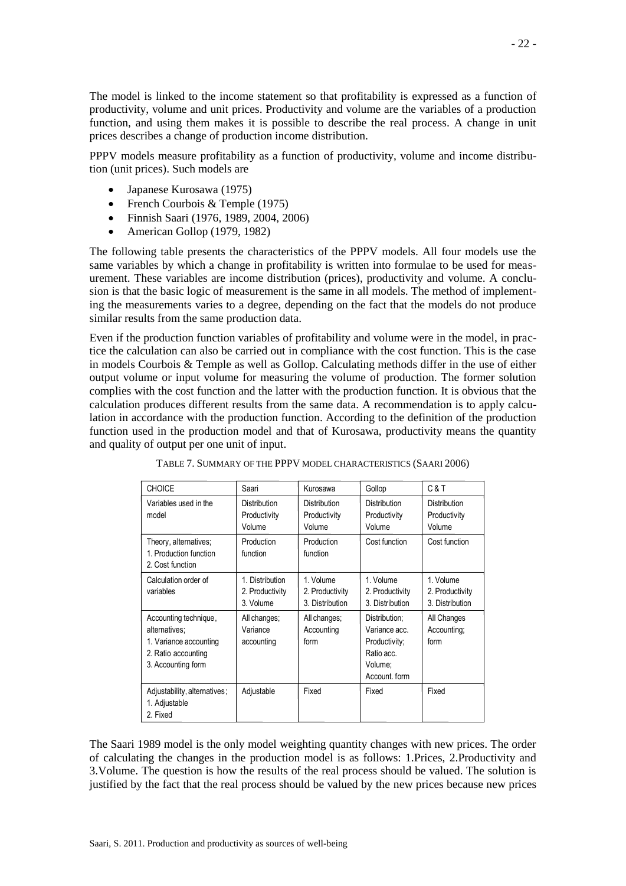The model is linked to the income statement so that profitability is expressed as a function of productivity, volume and unit prices. Productivity and volume are the variables of a production function, and using them makes it is possible to describe the real process. A change in unit prices describes a change of production income distribution.

PPPV models measure profitability as a function of productivity, volume and income distribution (unit prices). Such models are

- Japanese Kurosawa (1975)
- French Courbois & Temple (1975)
- Finnish Saari (1976, 1989, 2004, 2006)
- American Gollop (1979, 1982)

The following table presents the characteristics of the PPPV models. All four models use the same variables by which a change in profitability is written into formulae to be used for measurement. These variables are income distribution (prices), productivity and volume. A conclusion is that the basic logic of measurement is the same in all models. The method of implementing the measurements varies to a degree, depending on the fact that the models do not produce similar results from the same production data.

Even if the production function variables of profitability and volume were in the model, in practice the calculation can also be carried out in compliance with the cost function. This is the case in models Courbois & Temple as well as Gollop. Calculating methods differ in the use of either output volume or input volume for measuring the volume of production. The former solution complies with the cost function and the latter with the production function. It is obvious that the calculation produces different results from the same data. A recommendation is to apply calculation in accordance with the production function. According to the definition of the production function used in the production model and that of Kurosawa, productivity means the quantity and quality of output per one unit of input.

| <b>CHOICE</b>                                                                                                 | Saari                                           | Kurosawa                                        | Gollop                                                                                    | C & T                                           |
|---------------------------------------------------------------------------------------------------------------|-------------------------------------------------|-------------------------------------------------|-------------------------------------------------------------------------------------------|-------------------------------------------------|
| Variables used in the<br>model                                                                                | <b>Distribution</b><br>Productivity<br>Volume   | <b>Distribution</b><br>Productivity<br>Volume   | <b>Distribution</b><br>Productivity<br>Volume                                             | Distribution<br>Productivity<br>Volume          |
| Theory, alternatives;<br>1. Production function<br>2. Cost function                                           | Production<br>function                          | Production<br>function                          | Cost function                                                                             | Cost function                                   |
| Calculation order of<br>variables                                                                             | 1. Distribution<br>2. Productivity<br>3. Volume | 1. Volume<br>2. Productivity<br>3. Distribution | 1. Volume<br>2. Productivity<br>3. Distribution                                           | 1. Volume<br>2. Productivity<br>3. Distribution |
| Accounting technique,<br>alternatives:<br>1. Variance accounting<br>2. Ratio accounting<br>3. Accounting form | All changes;<br>Variance<br>accounting          | All changes;<br>Accounting<br>form              | Distribution;<br>Variance acc.<br>Productivity;<br>Ratio acc.<br>Volume;<br>Account. form | All Changes<br>Accounting:<br>form              |
| Adjustability, alternatives;<br>1. Adjustable<br>2. Fixed                                                     | Adjustable                                      | Fixed                                           | Fixed                                                                                     | Fixed                                           |

TABLE 7. SUMMARY OF THE PPPV MODEL CHARACTERISTICS (SAARI 2006)

The Saari 1989 model is the only model weighting quantity changes with new prices. The order of calculating the changes in the production model is as follows: 1.Prices, 2.Productivity and 3.Volume. The question is how the results of the real process should be valued. The solution is justified by the fact that the real process should be valued by the new prices because new prices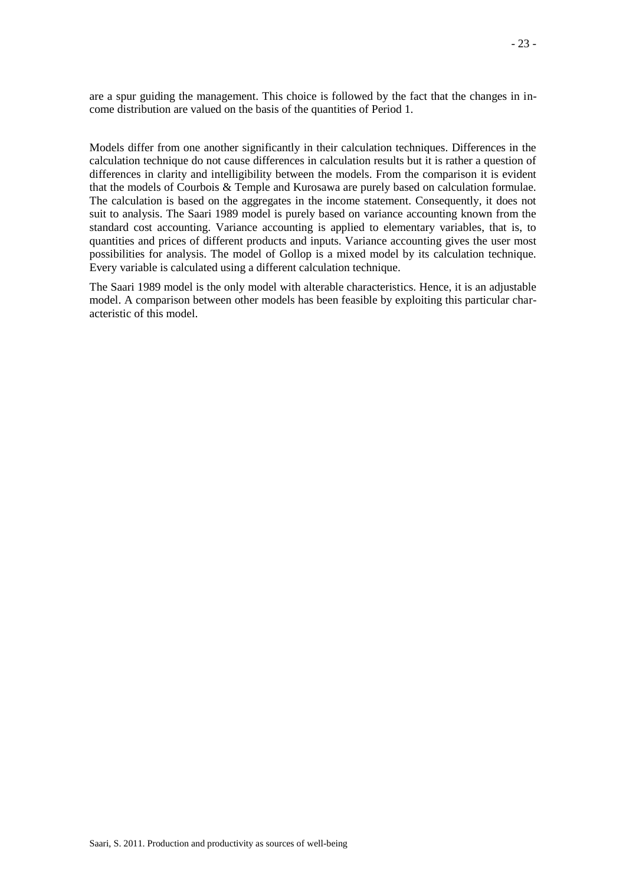are a spur guiding the management. This choice is followed by the fact that the changes in income distribution are valued on the basis of the quantities of Period 1.

Models differ from one another significantly in their calculation techniques. Differences in the calculation technique do not cause differences in calculation results but it is rather a question of differences in clarity and intelligibility between the models. From the comparison it is evident that the models of Courbois & Temple and Kurosawa are purely based on calculation formulae. The calculation is based on the aggregates in the income statement. Consequently, it does not suit to analysis. The Saari 1989 model is purely based on variance accounting known from the standard cost accounting. Variance accounting is applied to elementary variables, that is, to quantities and prices of different products and inputs. Variance accounting gives the user most possibilities for analysis. The model of Gollop is a mixed model by its calculation technique. Every variable is calculated using a different calculation technique.

The Saari 1989 model is the only model with alterable characteristics. Hence, it is an adjustable model. A comparison between other models has been feasible by exploiting this particular characteristic of this model.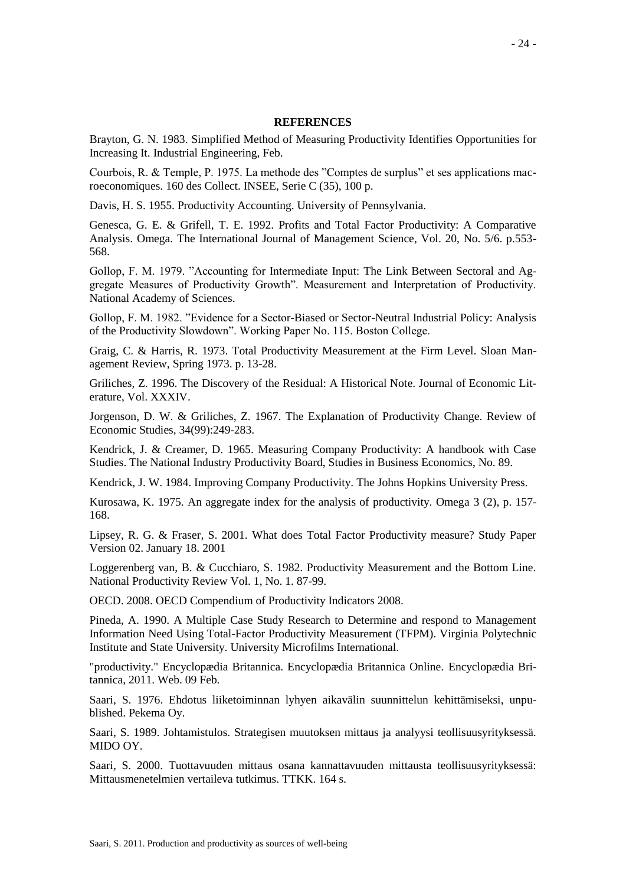## **REFERENCES**

Brayton, G. N. 1983. Simplified Method of Measuring Productivity Identifies Opportunities for Increasing It. Industrial Engineering, Feb.

Courbois, R. & Temple, P. 1975. La methode des "Comptes de surplus" et ses applications macroeconomiques. 160 des Collect. INSEE, Serie C (35), 100 p.

Davis, H. S. 1955. Productivity Accounting. University of Pennsylvania.

Genesca, G. E. & Grifell, T. E. 1992. Profits and Total Factor Productivity: A Comparative Analysis. Omega. The International Journal of Management Science, Vol. 20, No. 5/6. p.553- 568.

Gollop, F. M. 1979. "Accounting for Intermediate Input: The Link Between Sectoral and Aggregate Measures of Productivity Growth". Measurement and Interpretation of Productivity. National Academy of Sciences.

Gollop, F. M. 1982. "Evidence for a Sector-Biased or Sector-Neutral Industrial Policy: Analysis of the Productivity Slowdown". Working Paper No. 115. Boston College.

Graig, C. & Harris, R. 1973. Total Productivity Measurement at the Firm Level. Sloan Management Review, Spring 1973. p. 13-28.

Griliches, Z. 1996. The Discovery of the Residual: A Historical Note. Journal of Economic Literature, Vol. XXXIV.

Jorgenson, D. W. & Griliches, Z. 1967. The Explanation of Productivity Change. Review of Economic Studies, 34(99):249-283.

Kendrick, J. & Creamer, D. 1965. Measuring Company Productivity: A handbook with Case Studies. The National Industry Productivity Board, Studies in Business Economics, No. 89.

Kendrick, J. W. 1984. Improving Company Productivity. The Johns Hopkins University Press.

Kurosawa, K. 1975. An aggregate index for the analysis of productivity. Omega 3 (2), p. 157- 168.

Lipsey, R. G. & Fraser, S. 2001. What does Total Factor Productivity measure? Study Paper Version 02. January 18. 2001

Loggerenberg van, B. & Cucchiaro, S. 1982. Productivity Measurement and the Bottom Line. National Productivity Review Vol. 1, No. 1. 87-99.

OECD. 2008. OECD Compendium of Productivity Indicators 2008.

Pineda, A. 1990. A Multiple Case Study Research to Determine and respond to Management Information Need Using Total-Factor Productivity Measurement (TFPM). Virginia Polytechnic Institute and State University. University Microfilms International.

"productivity." Encyclopædia Britannica. Encyclopædia Britannica Online. Encyclopædia Britannica, 2011. Web. 09 Feb.

Saari, S. 1976. Ehdotus liiketoiminnan lyhyen aikavälin suunnittelun kehittämiseksi, unpublished. Pekema Oy.

Saari, S. 1989. Johtamistulos. Strategisen muutoksen mittaus ja analyysi teollisuusyrityksessä. MIDO OY.

Saari, S. 2000. Tuottavuuden mittaus osana kannattavuuden mittausta teollisuusyrityksessä: Mittausmenetelmien vertaileva tutkimus. TTKK. 164 s.